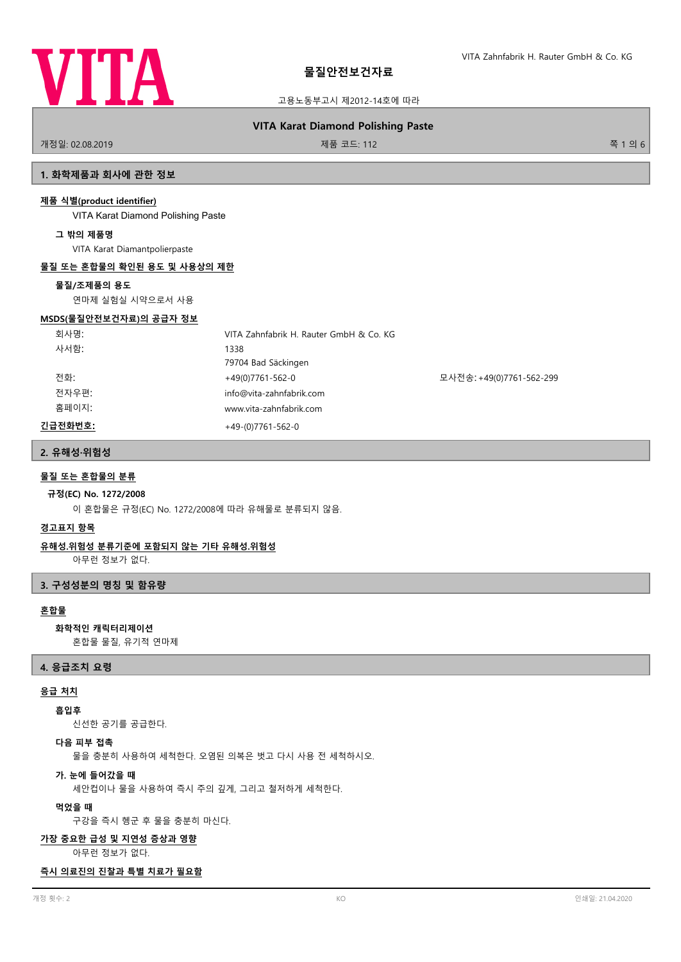

고용노동부고시 제2012-14호에 따라

# **VITA Karat Diamond Polishing Paste**

개정일: 02.08.2019 제품 코드: 112 쪽 1 의 6

# **1. 화학제품과 회사에 관한 정보**

### **제품 식별(product identifier)**

VITA Karat Diamond Polishing Paste

### **그 밖의 제품명**

VITA Karat Diamantpolierpaste

### **물질 또는 혼합물의 확인된 용도 및 사용상의 제한**

### **물질/조제품의 용도**

연마제 실험실 시약으로서 사용

### **MSDS(물질안전보건자료)의 공급자 정보**

| 회사명:    | VITA Zahnfabrik H. Rauter GmbH & Co. KG |                          |
|---------|-----------------------------------------|--------------------------|
| 사서함:    | 1338                                    |                          |
|         | 79704 Bad Säckingen                     |                          |
| 전화:     | $+49(0)7761-562-0$                      | 모사전송: +49(0)7761-562-299 |
| 전자우편:   | info@vita-zahnfabrik.com                |                          |
| 홈페이지:   | www.vita-zahnfabrik.com                 |                          |
| 긴급전화번호: | $+49-(0)7761-562-0$                     |                          |

# **2. 유해성·위험성**

### **물질 또는 혼합물의 분류**

### **규정(EC) No. 1272/2008**

이 혼합물은 규정(EC) No. 1272/2008에 따라 유해물로 분류되지 않음.

### **경고표지 항목**

# **유해성.위험성 분류기준에 포함되지 않는 기타 유해성.위험성**

아무런 정보가 없다.

### **3. 구성성분의 명칭 및 함유량**

# **혼합물**

# **화학적인 캐릭터리제이션**

혼합물 물질, 유기적 연마제

# **4. 응급조치 요령**

# **응급 처치**

# **흡입후**

신선한 공기를 공급한다.

# **다음 피부 접촉**

물을 충분히 사용하여 세척한다. 오염된 의복은 벗고 다시 사용 전 세척하시오.

#### **가. 눈에 들어갔을 때**

세안컵이나 물을 사용하여 즉시 주의 깊게, 그리고 철저하게 세척한다.

### **먹었을 때**

구강을 즉시 헹군 후 물을 충분히 마신다.

### **가장 중요한 급성 및 지연성 증상과 영향**

아무런 정보가 없다.

### **즉시 의료진의 진찰과 특별 치료가 필요함**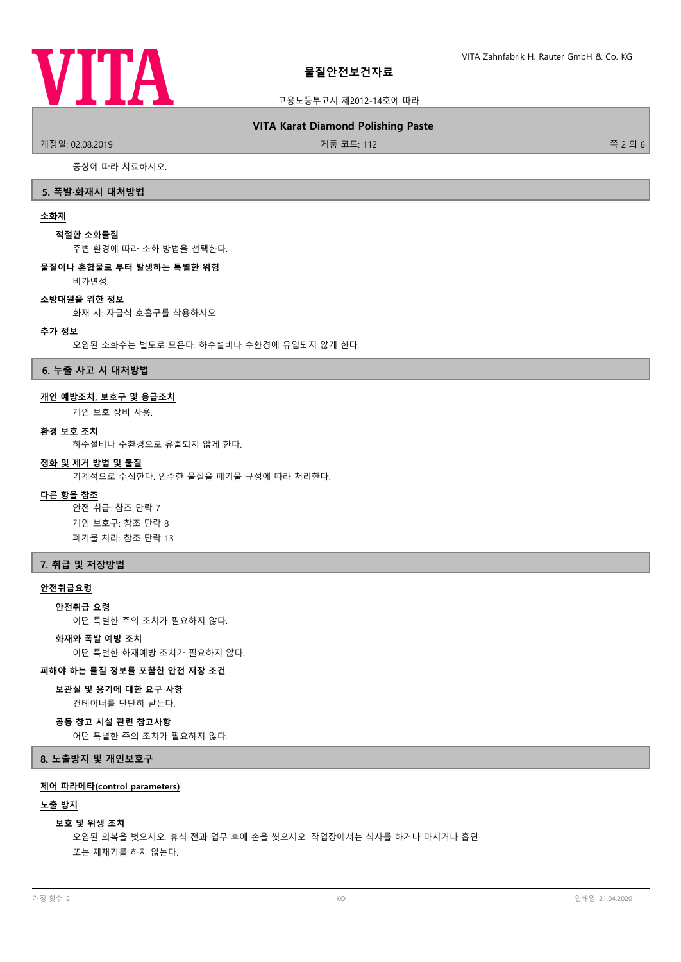

### 고용노동부고시 제2012-14호에 따라

### **VITA Karat Diamond Polishing Paste**

.<br>개정일: 02.08.2019 제품 코드: 112 쪽 2 의 6

증상에 따라 치료하시오.

### **5. 폭발·화재시 대처방법**

# **소화제**

### **적절한 소화물질**

주변 환경에 따라 소화 방법을 선택한다.

### **물질이나 혼합물로 부터 발생하는 특별한 위험**

비가연성.

### **소방대원을 위한 정보**

화재 시: 자급식 호흡구를 착용하시오.

#### **추가 정보**

오염된 소화수는 별도로 모은다. 하수설비나 수환경에 유입되지 않게 한다.

**6. 누출 사고 시 대처방법**

### **개인 예방조치, 보호구 및 응급조치**

개인 보호 장비 사용.

### **환경 보호 조치**

하수설비나 수환경으로 유출되지 않게 한다.

# **정화 및 제거 방법 및 물질**

기계적으로 수집한다. 인수한 물질을 폐기물 규정에 따라 처리한다.

### **다른 항을 참조**

안전 취급: 참조 단락 7 개인 보호구: 참조 단락 8 폐기물 처리: 참조 단락 13

### **7. 취급 및 저장방법**

# **안전취급요령**

#### **안전취급 요령**

어떤 특별한 주의 조치가 필요하지 않다.

# **화재와 폭발 예방 조치**

어떤 특별한 화재예방 조치가 필요하지 않다.

# **피해야 하는 물질 정보를 포함한 안전 저장 조건**

#### **보관실 및 용기에 대한 요구 사항**

컨테이너를 단단히 닫는다.

### **공동 창고 시설 관련 참고사항**

어떤 특별한 주의 조치가 필요하지 않다.

**8. 노출방지 및 개인보호구**

### **제어 파라메타(control parameters)**

### **노출 방지**

#### **보호 및 위생 조치**

오염된 의복을 벗으시오. 휴식 전과 업무 후에 손을 씻으시오. 작업장에서는 식사를 하거나 마시거나 흡연 또는 재채기를 하지 않는다.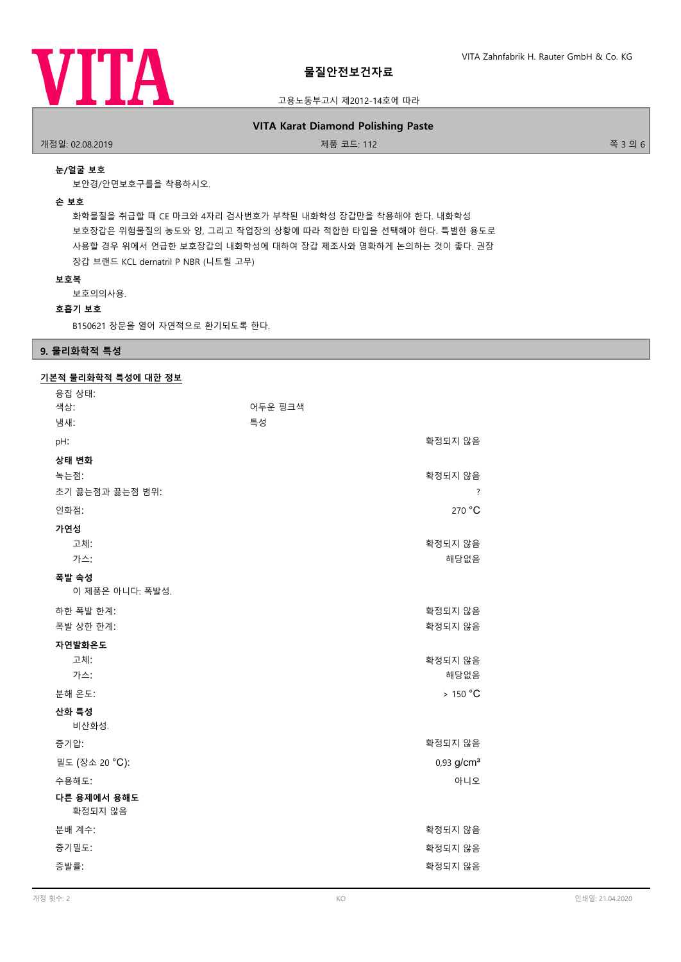

### 고용노동부고시 제2012-14호에 따라

# **VITA Karat Diamond Polishing Paste**

개정일: 02.08.2019 제품 코드: 112 쪽 3 의 6

# **눈/얼굴 보호**

보안경/안면보호구를을 착용하시오.

### **손 보호**

화학물질을 취급할 때 CE 마크와 4자리 검사번호가 부착된 내화학성 장갑만을 착용해야 한다. 내화학성 보호장갑은 위험물질의 농도와 양, 그리고 작업장의 상황에 따라 적합한 타입을 선택해야 한다. 특별한 용도로 사용할 경우 위에서 언급한 보호장갑의 내화학성에 대하여 장갑 제조사와 명확하게 논의하는 것이 좋다. 권장 장갑 브랜드 KCL dernatril P NBR (니트릴 고무)

### **보호복**

보호의의사용.

### **호흡기 보호**

B150621 창문을 열어 자연적으로 환기되도록 한다.

# **9. 물리화학적 특성**

# **기본적 물리화학적 특성에 대한 정보**

| 응집 상태:<br>색상:            | 어두운 핑크색 |                               |
|--------------------------|---------|-------------------------------|
| 냄새:                      | 특성      |                               |
| pH:                      |         | 확정되지 않음                       |
| 상태 변화                    |         |                               |
| 녹는점:<br>초기 끓는점과 끓는점 범위:  |         | 확정되지 않음<br>$\overline{\cdot}$ |
| 인화점:                     |         | 270 °C                        |
| 가연성<br>고체:               |         | 확정되지 않음                       |
| 가스:                      |         | 해당없음                          |
| 폭발 속성<br>이 제품은 아니다: 폭발성. |         |                               |
| 하한 폭발 한계:<br>폭발 상한 한계:   |         | 확정되지 않음<br>확정되지 않음            |
| 자연발화온도<br>고체:<br>가스:     |         | 확정되지 않음<br>해당없음               |
| 분해 온도:                   |         | >150 °C                       |
| 산화 특성<br>비산화성.           |         |                               |
| 증기압:                     |         | 확정되지 않음                       |
| 밀도 (장소 20 °C):           |         | $0.93$ g/cm <sup>3</sup>      |
| 수용해도:                    |         | 아니오                           |
| 다른 용제에서 용해도<br>확정되지 않음   |         |                               |
| 분배 계수:                   |         | 확정되지 않음                       |
| 증기밀도:                    |         | 확정되지 않음                       |
| 증발률:                     |         | 확정되지 않음                       |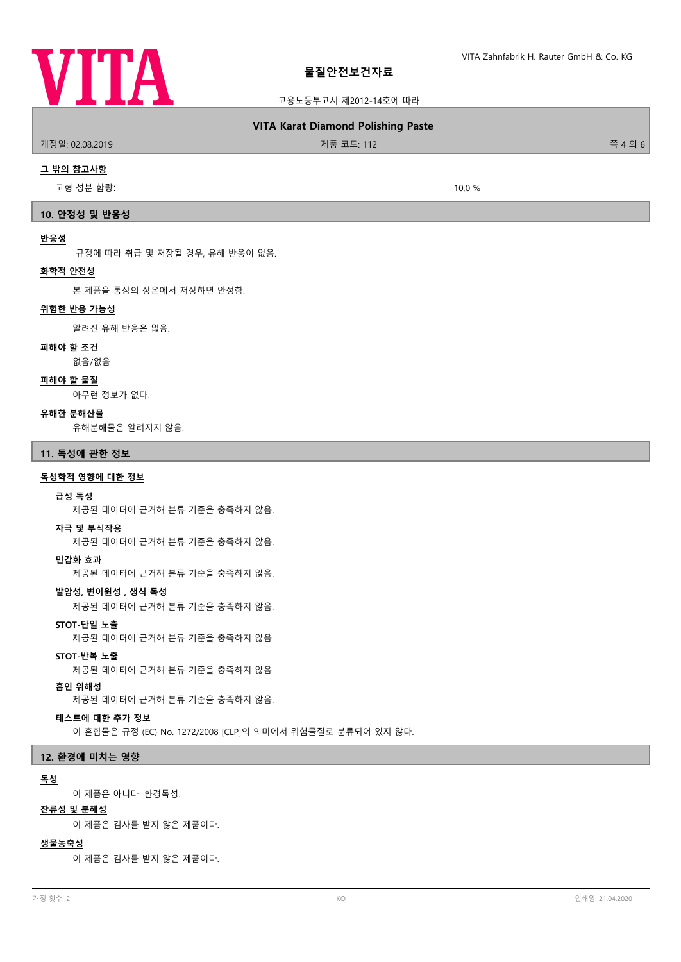

고용노동부고시 제2012-14호에 따라

# **VITA Karat Diamond Polishing Paste**

### 개정일: 02.08.2019 제품 코드: 112 쪽 4 의 6

**그 밖의 참고사항**

고형 성분 함량: 10,0 %

### **10. 안정성 및 반응성**

### **반응성**

규정에 따라 취급 및 저장될 경우, 유해 반응이 없음.

### **화학적 안전성**

본 제품을 통상의 상온에서 저장하면 안정함.

### **위험한 반응 가능성**

알려진 유해 반응은 없음.

### **피해야 할 조건**

없음/없음

# **피해야 할 물질**

아무런 정보가 없다.

### **유해한 분해산물**

유해분해물은 알려지지 않음.

**11. 독성에 관한 정보**

### **독성학적 영향에 대한 정보**

### **급성 독성**

제공된 데이터에 근거해 분류 기준을 충족하지 않음.

### **자극 및 부식작용**

제공된 데이터에 근거해 분류 기준을 충족하지 않음.

#### **민감화 효과**

제공된 데이터에 근거해 분류 기준을 충족하지 않음.

### **발암성, 변이원성 , 생식 독성**

제공된 데이터에 근거해 분류 기준을 충족하지 않음.

**STOT-단일 노출**

제공된 데이터에 근거해 분류 기준을 충족하지 않음.

### **STOT-반복 노출**

제공된 데이터에 근거해 분류 기준을 충족하지 않음.

### **흡인 위해성**

제공된 데이터에 근거해 분류 기준을 충족하지 않음.

# **테스트에 대한 추가 정보**

이 혼합물은 규정 (EC) No. 1272/2008 [CLP]의 의미에서 위험물질로 분류되어 있지 않다.

# **12. 환경에 미치는 영향**

### **독성**

이 제품은 아니다: 환경독성.

# **잔류성 및 분해성**

이 제품은 검사를 받지 않은 제품이다.

### **생물농축성**

이 제품은 검사를 받지 않은 제품이다.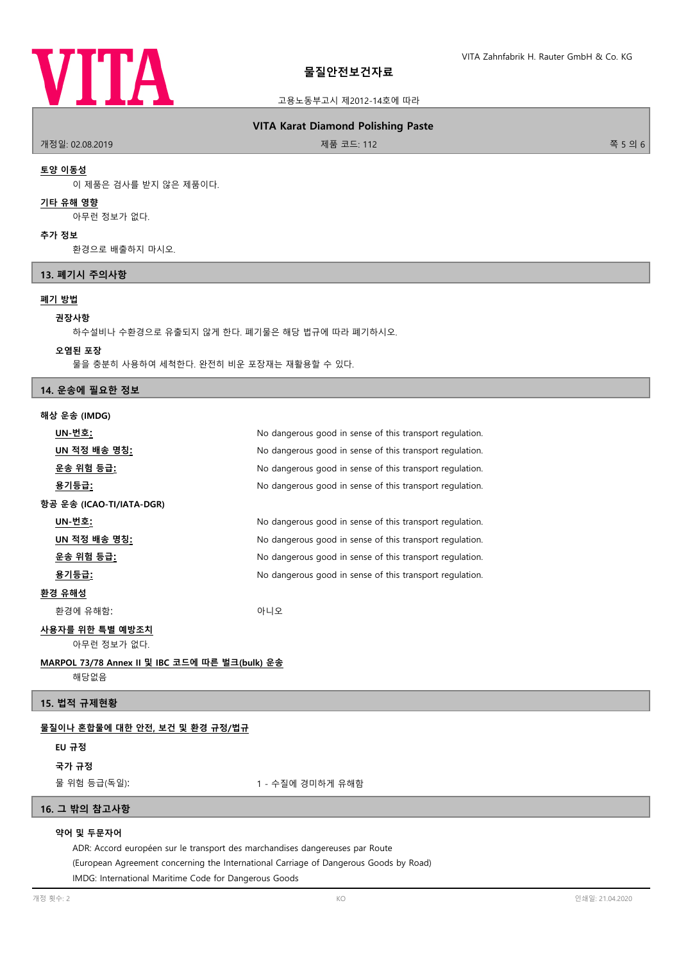

### 고용노동부고시 제2012-14호에 따라

### **VITA Karat Diamond Polishing Paste**

개정일: 02.08.2019 제품 코드: 112 쪽 5 의 6

### **토양 이동성**

이 제품은 검사를 받지 않은 제품이다.

# **기타 유해 영향**

아무런 정보가 없다.

### **추가 정보**

환경으로 배출하지 마시오.

### **13. 폐기시 주의사항**

### **폐기 방법**

#### **권장사항**

하수설비나 수환경으로 유출되지 않게 한다. 폐기물은 해당 법규에 따라 폐기하시오.

#### **오염된 포장**

물을 충분히 사용하여 세척한다. 완전히 비운 포장재는 재활용할 수 있다.

### **14. 운송에 필요한 정보**

### **해상 운송 (IMDG)**

| UN-번호:                   | No dangerous good in sense of this transport regulation. |
|--------------------------|----------------------------------------------------------|
| UN 적정 배송 명칭:             | No dangerous good in sense of this transport regulation. |
| 운송 위험 등급 <u>:</u>        | No dangerous good in sense of this transport regulation. |
| 용기등급 <u>:</u>            | No dangerous good in sense of this transport regulation. |
| 항공 운송 (ICAO-TI/IATA-DGR) |                                                          |
| UN-번호:                   | No dangerous good in sense of this transport regulation. |
| <u>UN 적정 배송 명칭:</u>      | No dangerous good in sense of this transport regulation. |
| 운송 위험 등급:                | No dangerous good in sense of this transport regulation. |
| 용기등급:                    | No dangerous good in sense of this transport regulation. |
| 환경 유해성                   |                                                          |
| 환경에 유해함:                 | 아니오                                                      |
| 사용자를 위한 특별 예방조치          |                                                          |
| 아무런 정보가 없다.              |                                                          |
|                          |                                                          |

# **MARPOL 73/78 Annex II 및 IBC 코드에 따른 벌크(bulk) 운송**

해당없음

# **15. 법적 규제현황**

### **물질이나 혼합물에 대한 안전, 보건 및 환경 규정/법규**

# **EU 규정**

**국가 규정**

물 위험 등급(독일): 1 - 수질에 경미하게 유해함

# **16. 그 밖의 참고사항**

### **약어 및 두문자어**

ADR: Accord européen sur le transport des marchandises dangereuses par Route (European Agreement concerning the International Carriage of Dangerous Goods by Road) IMDG: International Maritime Code for Dangerous Goods